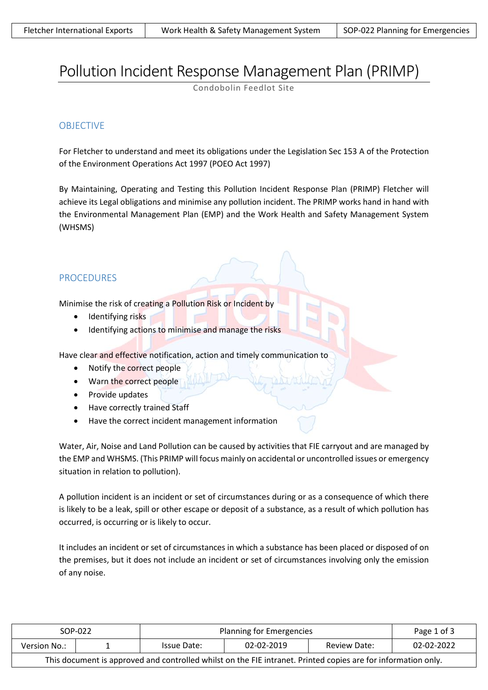# Pollution Incident Response Management Plan (PRIMP)

Condobolin Feedlot Site

## **OBJECTIVE**

For Fletcher to understand and meet its obligations under the Legislation Sec 153 A of the Protection of the Environment Operations Act 1997 (POEO Act 1997)

By Maintaining, Operating and Testing this Pollution Incident Response Plan (PRIMP) Fletcher will achieve its Legal obligations and minimise any pollution incident. The PRIMP works hand in hand with the Environmental Management Plan (EMP) and the Work Health and Safety Management System (WHSMS)

#### PROCEDURES

Minimise the risk of creating a Pollution Risk or Incident by

- Identifying risks
- Identifying actions to minimise and manage the risks

Have clear and effective notification, action and timely communication to

- Notify the correct people
- Warn the correct people
- Provide updates
- Have correctly trained Staff
- Have the correct incident management information

Water, Air, Noise and Land Pollution can be caused by activities that FIE carryout and are managed by the EMP and WHSMS. (This PRIMP will focus mainly on accidental or uncontrolled issues or emergency situation in relation to pollution).

A pollution incident is an incident or set of circumstances during or as a consequence of which there is likely to be a leak, spill or other escape or deposit of a substance, as a result of which pollution has occurred, is occurring or is likely to occur.

It includes an incident or set of circumstances in which a substance has been placed or disposed of on the premises, but it does not include an incident or set of circumstances involving only the emission of any noise.

| SOP-022                                                                                                       |  | Planning for Emergencies |            |              | Page 1 of 3 |
|---------------------------------------------------------------------------------------------------------------|--|--------------------------|------------|--------------|-------------|
| Version No.:                                                                                                  |  | Issue Date:              | 02-02-2019 | Review Date: | 02-02-2022  |
| This document is approved and controlled whilst on the FIE intranet. Printed copies are for information only. |  |                          |            |              |             |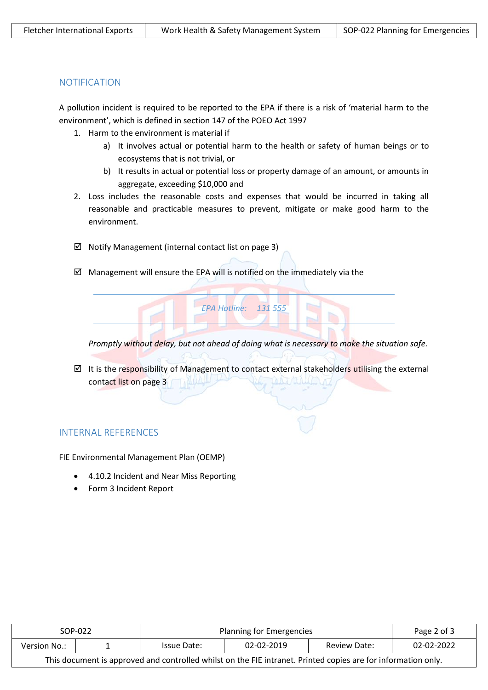## NOTIFICATION

A pollution incident is required to be reported to the EPA if there is a risk of 'material harm to the environment', which is defined in section 147 of the POEO Act 1997

- 1. Harm to the environment is material if
	- a) It involves actual or potential harm to the health or safety of human beings or to ecosystems that is not trivial, or
	- b) It results in actual or potential loss or property damage of an amount, or amounts in aggregate, exceeding \$10,000 and
- 2. Loss includes the reasonable costs and expenses that would be incurred in taking all reasonable and practicable measures to prevent, mitigate or make good harm to the environment.
- $\boxtimes$  Notify Management (internal contact list on page 3)
- $\boxtimes$  Management will ensure the EPA will is notified on the immediately via the



*Promptly without delay, but not ahead of doing what is necessary to make the situation safe.*

 $\boxtimes$  It is the responsibility of Management to contact external stakeholders utilising the external contact list on page 3

## INTERNAL REFERENCES

FIE Environmental Management Plan (OEMP)

- 4.10.2 Incident and Near Miss Reporting
- Form 3 Incident Report

| SOP-022                                                                                                       |  | Planning for Emergencies |            |              | Page 2 of 3 |
|---------------------------------------------------------------------------------------------------------------|--|--------------------------|------------|--------------|-------------|
| Version No.:                                                                                                  |  | Issue Date:              | 02-02-2019 | Review Date: | 02-02-2022  |
| This document is approved and controlled whilst on the FIE intranet. Printed copies are for information only. |  |                          |            |              |             |